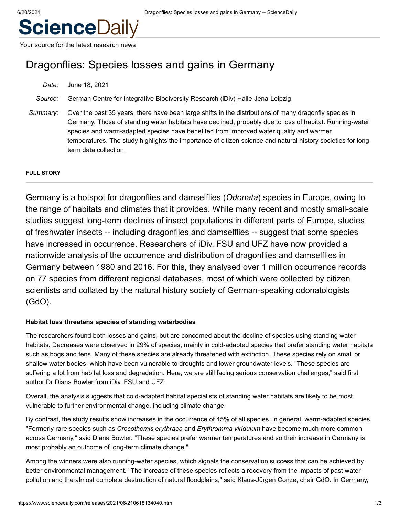# **ScienceDaily**

Your source for the latest research news

## Dragonflies: Species losses and gains in Germany

*Date:* June 18, 2021

*Source:* German Centre for Integrative Biodiversity Research (iDiv) Halle-Jena-Leipzig

*Summary:* Over the past 35 years, there have been large shifts in the distributions of many dragonfly species in Germany. Those of standing water habitats have declined, probably due to loss of habitat. Running-water species and warm-adapted species have benefited from improved water quality and warmer temperatures. The study highlights the importance of citizen science and natural history societies for longterm data collection.

#### **FULL STORY**

Germany is a hotspot for dragonflies and damselflies (*Odonata*) species in Europe, owing to the range of habitats and climates that it provides. While many recent and mostly small-scale studies suggest long-term declines of insect populations in different parts of Europe, studies of freshwater insects -- including dragonflies and damselflies -- suggest that some species have increased in occurrence. Researchers of iDiv, FSU and UFZ have now provided a nationwide analysis of the occurrence and distribution of dragonflies and damselflies in Germany between 1980 and 2016. For this, they analysed over 1 million occurrence records on 77 species from different regional databases, most of which were collected by citizen scientists and collated by the natural history society of German-speaking odonatologists (GdO).

#### **Habitat loss threatens species of standing waterbodies**

The researchers found both losses and gains, but are concerned about the decline of species using standing water habitats. Decreases were observed in 29% of species, mainly in cold-adapted species that prefer standing water habitats such as bogs and fens. Many of these species are already threatened with extinction. These species rely on small or shallow water bodies, which have been vulnerable to droughts and lower groundwater levels. "These species are suffering a lot from habitat loss and degradation. Here, we are still facing serious conservation challenges," said first author Dr Diana Bowler from iDiv, FSU and UFZ.

Overall, the analysis suggests that cold-adapted habitat specialists of standing water habitats are likely to be most vulnerable to further environmental change, including climate change.

By contrast, the study results show increases in the occurrence of 45% of all species, in general, warm-adapted species. "Formerly rare species such as *Crocothemis erythraea* and *Erythromma viridulum* have become much more common across Germany," said Diana Bowler. "These species prefer warmer temperatures and so their increase in Germany is most probably an outcome of long-term climate change."

Among the winners were also running-water species, which signals the conservation success that can be achieved by better environmental management. "The increase of these species reflects a recovery from the impacts of past water pollution and the almost complete destruction of natural floodplains," said Klaus-Jürgen Conze, chair GdO. In Germany,